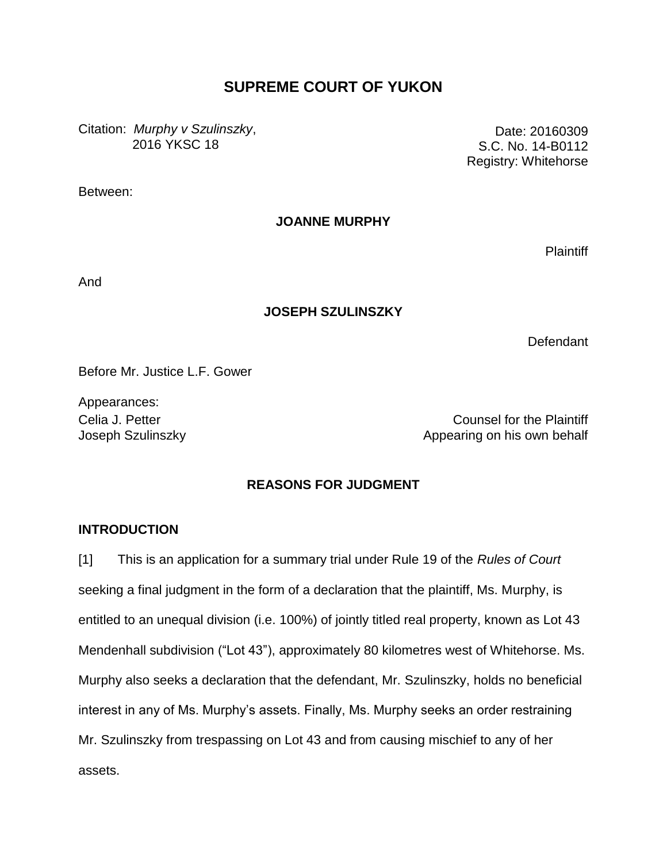# **SUPREME COURT OF YUKON**

Citation: *Murphy v Szulinszky*, 2016 YKSC 18

Date: 20160309 S.C. No. 14-B0112 Registry: Whitehorse

Between:

**JOANNE MURPHY**

**Plaintiff** 

And

### **JOSEPH SZULINSZKY**

**Defendant** 

Before Mr. Justice L.F. Gower

Appearances:

Celia J. Petter Counsel for the Plaintiff Joseph Szulinszky **Appearing on his own behalf** Appearing on his own behalf

### **REASONS FOR JUDGMENT**

### **INTRODUCTION**

[1] This is an application for a summary trial under Rule 19 of the *Rules of Court* seeking a final judgment in the form of a declaration that the plaintiff, Ms. Murphy, is entitled to an unequal division (i.e. 100%) of jointly titled real property, known as Lot 43 Mendenhall subdivision ("Lot 43"), approximately 80 kilometres west of Whitehorse. Ms. Murphy also seeks a declaration that the defendant, Mr. Szulinszky, holds no beneficial interest in any of Ms. Murphy's assets. Finally, Ms. Murphy seeks an order restraining Mr. Szulinszky from trespassing on Lot 43 and from causing mischief to any of her assets.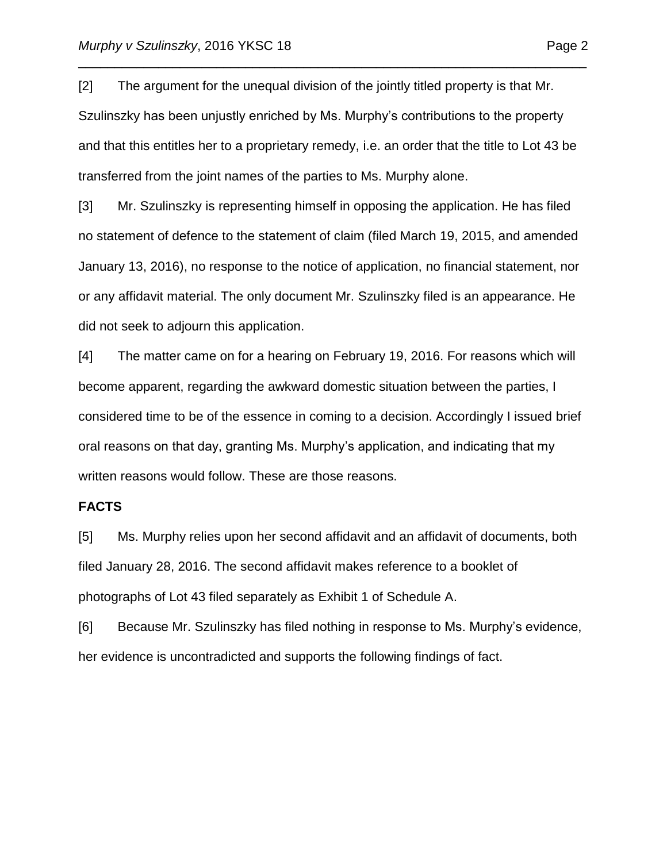[2] The argument for the unequal division of the jointly titled property is that Mr. Szulinszky has been unjustly enriched by Ms. Murphy's contributions to the property and that this entitles her to a proprietary remedy, i.e. an order that the title to Lot 43 be transferred from the joint names of the parties to Ms. Murphy alone.

\_\_\_\_\_\_\_\_\_\_\_\_\_\_\_\_\_\_\_\_\_\_\_\_\_\_\_\_\_\_\_\_\_\_\_\_\_\_\_\_\_\_\_\_\_\_\_\_\_\_\_\_\_\_\_\_\_\_\_\_\_\_\_\_\_\_\_\_\_\_

[3] Mr. Szulinszky is representing himself in opposing the application. He has filed no statement of defence to the statement of claim (filed March 19, 2015, and amended January 13, 2016), no response to the notice of application, no financial statement, nor or any affidavit material. The only document Mr. Szulinszky filed is an appearance. He did not seek to adjourn this application.

[4] The matter came on for a hearing on February 19, 2016. For reasons which will become apparent, regarding the awkward domestic situation between the parties, I considered time to be of the essence in coming to a decision. Accordingly I issued brief oral reasons on that day, granting Ms. Murphy's application, and indicating that my written reasons would follow. These are those reasons.

#### **FACTS**

[5] Ms. Murphy relies upon her second affidavit and an affidavit of documents, both filed January 28, 2016. The second affidavit makes reference to a booklet of photographs of Lot 43 filed separately as Exhibit 1 of Schedule A.

[6] Because Mr. Szulinszky has filed nothing in response to Ms. Murphy's evidence, her evidence is uncontradicted and supports the following findings of fact.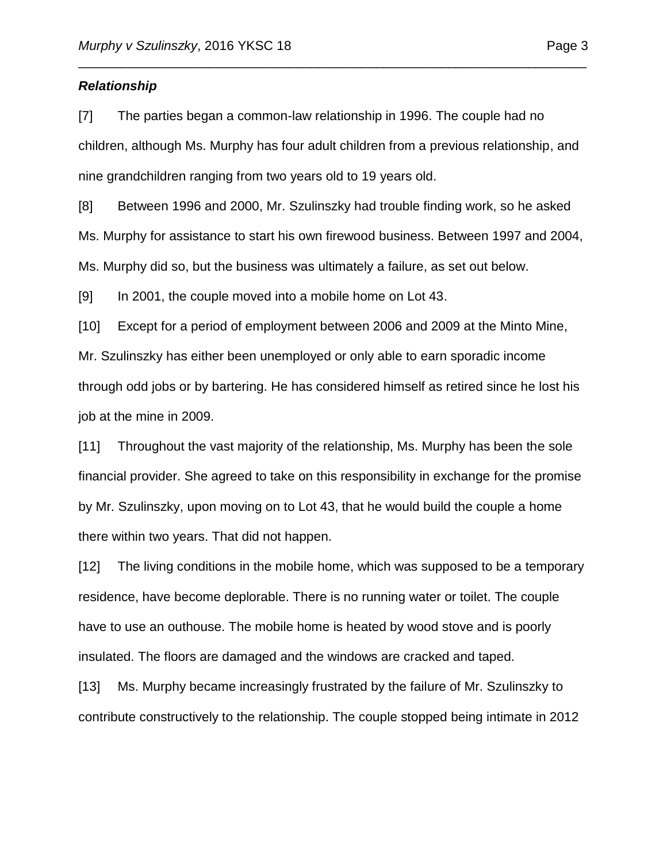#### *Relationship*

[7] The parties began a common-law relationship in 1996. The couple had no children, although Ms. Murphy has four adult children from a previous relationship, and nine grandchildren ranging from two years old to 19 years old.

\_\_\_\_\_\_\_\_\_\_\_\_\_\_\_\_\_\_\_\_\_\_\_\_\_\_\_\_\_\_\_\_\_\_\_\_\_\_\_\_\_\_\_\_\_\_\_\_\_\_\_\_\_\_\_\_\_\_\_\_\_\_\_\_\_\_\_\_\_\_

[8] Between 1996 and 2000, Mr. Szulinszky had trouble finding work, so he asked Ms. Murphy for assistance to start his own firewood business. Between 1997 and 2004, Ms. Murphy did so, but the business was ultimately a failure, as set out below.

[9] In 2001, the couple moved into a mobile home on Lot 43.

[10] Except for a period of employment between 2006 and 2009 at the Minto Mine, Mr. Szulinszky has either been unemployed or only able to earn sporadic income through odd jobs or by bartering. He has considered himself as retired since he lost his job at the mine in 2009.

[11] Throughout the vast majority of the relationship, Ms. Murphy has been the sole financial provider. She agreed to take on this responsibility in exchange for the promise by Mr. Szulinszky, upon moving on to Lot 43, that he would build the couple a home there within two years. That did not happen.

[12] The living conditions in the mobile home, which was supposed to be a temporary residence, have become deplorable. There is no running water or toilet. The couple have to use an outhouse. The mobile home is heated by wood stove and is poorly insulated. The floors are damaged and the windows are cracked and taped.

[13] Ms. Murphy became increasingly frustrated by the failure of Mr. Szulinszky to contribute constructively to the relationship. The couple stopped being intimate in 2012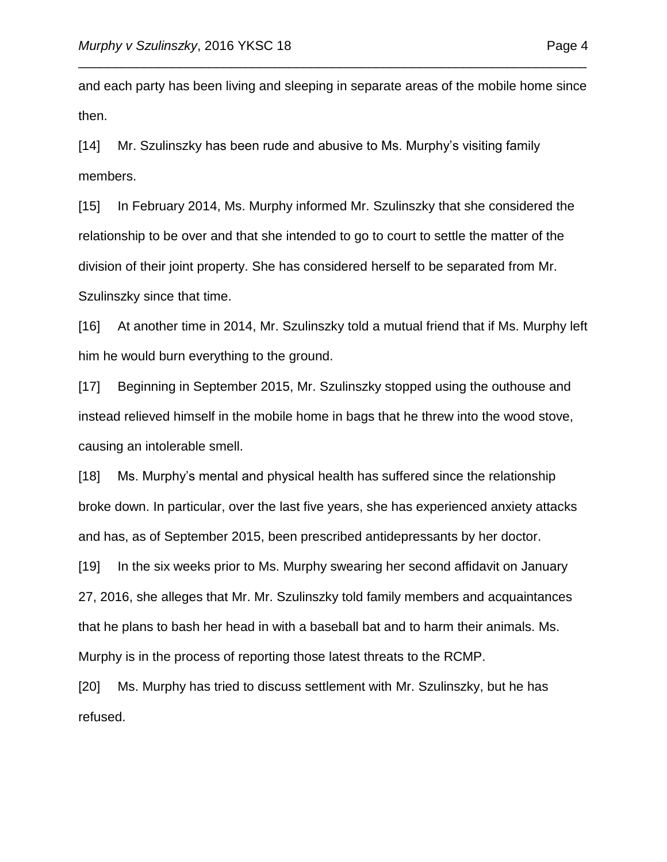and each party has been living and sleeping in separate areas of the mobile home since then.

\_\_\_\_\_\_\_\_\_\_\_\_\_\_\_\_\_\_\_\_\_\_\_\_\_\_\_\_\_\_\_\_\_\_\_\_\_\_\_\_\_\_\_\_\_\_\_\_\_\_\_\_\_\_\_\_\_\_\_\_\_\_\_\_\_\_\_\_\_\_

[14] Mr. Szulinszky has been rude and abusive to Ms. Murphy's visiting family members.

[15] In February 2014, Ms. Murphy informed Mr. Szulinszky that she considered the relationship to be over and that she intended to go to court to settle the matter of the division of their joint property. She has considered herself to be separated from Mr. Szulinszky since that time.

[16] At another time in 2014, Mr. Szulinszky told a mutual friend that if Ms. Murphy left him he would burn everything to the ground.

[17] Beginning in September 2015, Mr. Szulinszky stopped using the outhouse and instead relieved himself in the mobile home in bags that he threw into the wood stove, causing an intolerable smell.

[18] Ms. Murphy's mental and physical health has suffered since the relationship broke down. In particular, over the last five years, she has experienced anxiety attacks and has, as of September 2015, been prescribed antidepressants by her doctor.

[19] In the six weeks prior to Ms. Murphy swearing her second affidavit on January 27, 2016, she alleges that Mr. Mr. Szulinszky told family members and acquaintances that he plans to bash her head in with a baseball bat and to harm their animals. Ms. Murphy is in the process of reporting those latest threats to the RCMP.

[20] Ms. Murphy has tried to discuss settlement with Mr. Szulinszky, but he has refused.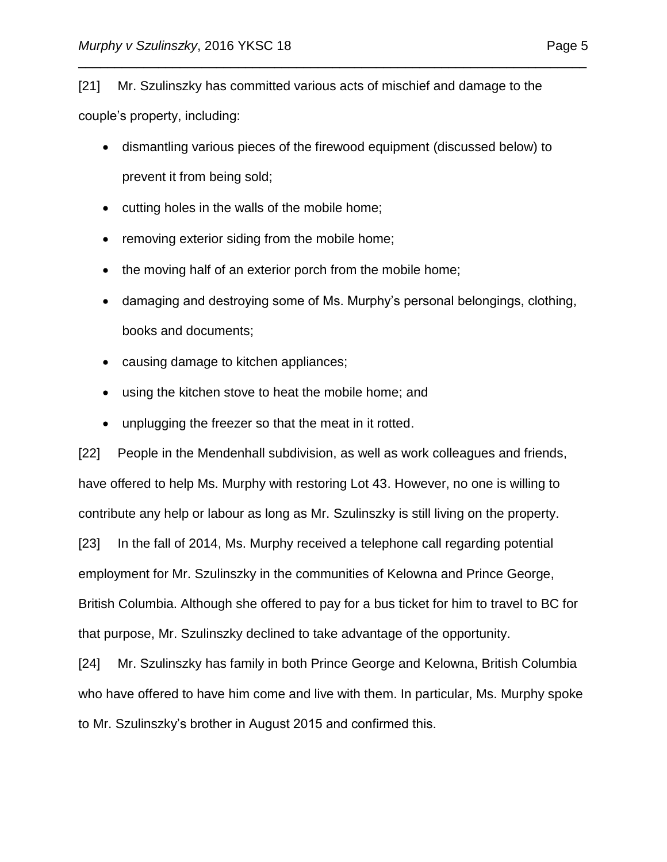[21] Mr. Szulinszky has committed various acts of mischief and damage to the couple's property, including:

 dismantling various pieces of the firewood equipment (discussed below) to prevent it from being sold;

\_\_\_\_\_\_\_\_\_\_\_\_\_\_\_\_\_\_\_\_\_\_\_\_\_\_\_\_\_\_\_\_\_\_\_\_\_\_\_\_\_\_\_\_\_\_\_\_\_\_\_\_\_\_\_\_\_\_\_\_\_\_\_\_\_\_\_\_\_\_

- cutting holes in the walls of the mobile home;
- removing exterior siding from the mobile home;
- the moving half of an exterior porch from the mobile home;
- damaging and destroying some of Ms. Murphy's personal belongings, clothing, books and documents;
- causing damage to kitchen appliances;
- using the kitchen stove to heat the mobile home; and
- unplugging the freezer so that the meat in it rotted.

[22] People in the Mendenhall subdivision, as well as work colleagues and friends, have offered to help Ms. Murphy with restoring Lot 43. However, no one is willing to contribute any help or labour as long as Mr. Szulinszky is still living on the property. [23] In the fall of 2014, Ms. Murphy received a telephone call regarding potential employment for Mr. Szulinszky in the communities of Kelowna and Prince George, British Columbia. Although she offered to pay for a bus ticket for him to travel to BC for that purpose, Mr. Szulinszky declined to take advantage of the opportunity.

[24] Mr. Szulinszky has family in both Prince George and Kelowna, British Columbia who have offered to have him come and live with them. In particular, Ms. Murphy spoke to Mr. Szulinszky's brother in August 2015 and confirmed this.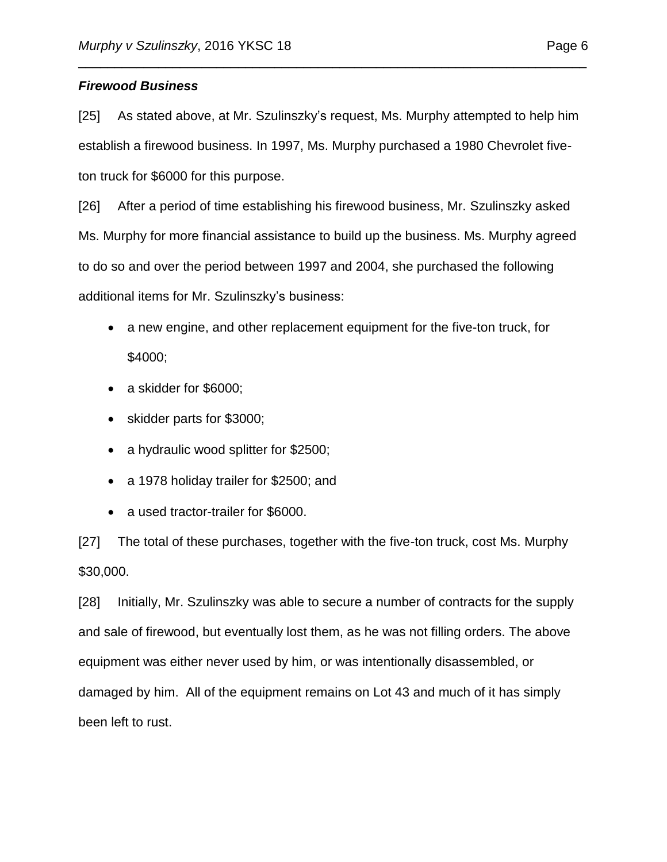## *Firewood Business*

[25] As stated above, at Mr. Szulinszky's request, Ms. Murphy attempted to help him establish a firewood business. In 1997, Ms. Murphy purchased a 1980 Chevrolet fiveton truck for \$6000 for this purpose.

\_\_\_\_\_\_\_\_\_\_\_\_\_\_\_\_\_\_\_\_\_\_\_\_\_\_\_\_\_\_\_\_\_\_\_\_\_\_\_\_\_\_\_\_\_\_\_\_\_\_\_\_\_\_\_\_\_\_\_\_\_\_\_\_\_\_\_\_\_\_

[26] After a period of time establishing his firewood business, Mr. Szulinszky asked Ms. Murphy for more financial assistance to build up the business. Ms. Murphy agreed to do so and over the period between 1997 and 2004, she purchased the following additional items for Mr. Szulinszky's business:

- a new engine, and other replacement equipment for the five-ton truck, for \$4000;
- a skidder for \$6000;
- skidder parts for \$3000;
- a hydraulic wood splitter for \$2500;
- a 1978 holiday trailer for \$2500; and
- a used tractor-trailer for \$6000.

[27] The total of these purchases, together with the five-ton truck, cost Ms. Murphy \$30,000.

[28] Initially, Mr. Szulinszky was able to secure a number of contracts for the supply and sale of firewood, but eventually lost them, as he was not filling orders. The above equipment was either never used by him, or was intentionally disassembled, or damaged by him. All of the equipment remains on Lot 43 and much of it has simply been left to rust.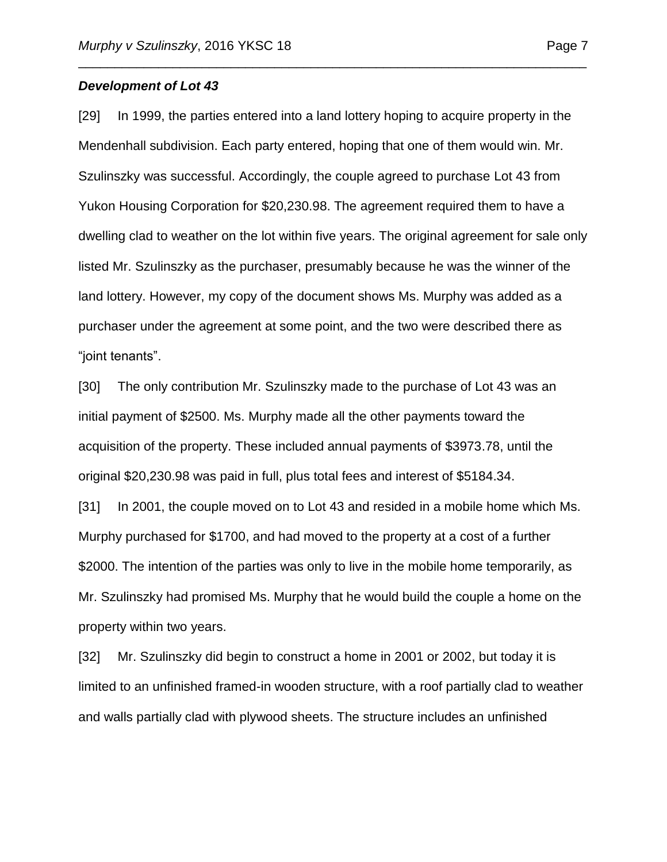#### *Development of Lot 43*

[29] In 1999, the parties entered into a land lottery hoping to acquire property in the Mendenhall subdivision. Each party entered, hoping that one of them would win. Mr. Szulinszky was successful. Accordingly, the couple agreed to purchase Lot 43 from Yukon Housing Corporation for \$20,230.98. The agreement required them to have a dwelling clad to weather on the lot within five years. The original agreement for sale only listed Mr. Szulinszky as the purchaser, presumably because he was the winner of the land lottery. However, my copy of the document shows Ms. Murphy was added as a purchaser under the agreement at some point, and the two were described there as "joint tenants".

\_\_\_\_\_\_\_\_\_\_\_\_\_\_\_\_\_\_\_\_\_\_\_\_\_\_\_\_\_\_\_\_\_\_\_\_\_\_\_\_\_\_\_\_\_\_\_\_\_\_\_\_\_\_\_\_\_\_\_\_\_\_\_\_\_\_\_\_\_\_

[30] The only contribution Mr. Szulinszky made to the purchase of Lot 43 was an initial payment of \$2500. Ms. Murphy made all the other payments toward the acquisition of the property. These included annual payments of \$3973.78, until the original \$20,230.98 was paid in full, plus total fees and interest of \$5184.34.

[31] In 2001, the couple moved on to Lot 43 and resided in a mobile home which Ms. Murphy purchased for \$1700, and had moved to the property at a cost of a further \$2000. The intention of the parties was only to live in the mobile home temporarily, as Mr. Szulinszky had promised Ms. Murphy that he would build the couple a home on the property within two years.

[32] Mr. Szulinszky did begin to construct a home in 2001 or 2002, but today it is limited to an unfinished framed-in wooden structure, with a roof partially clad to weather and walls partially clad with plywood sheets. The structure includes an unfinished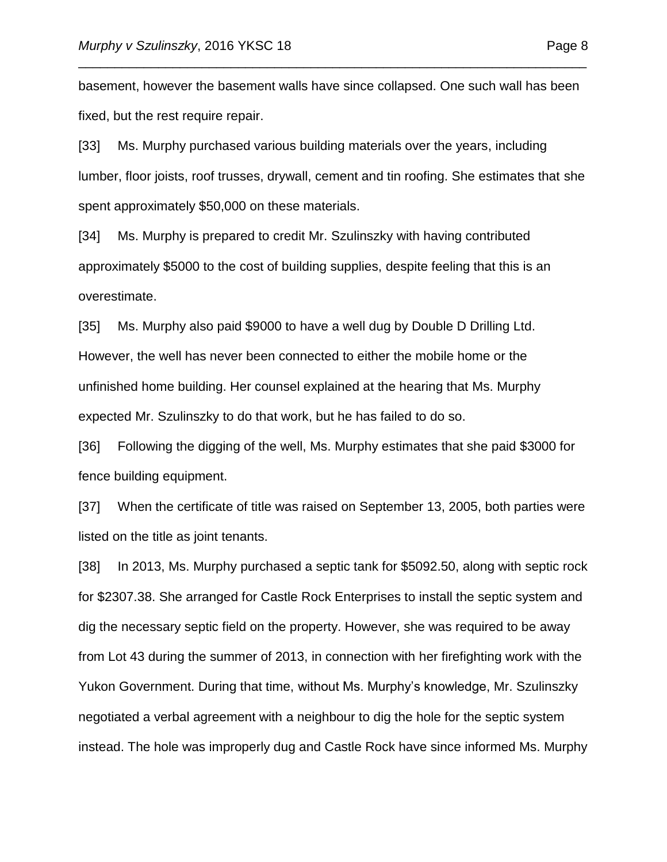basement, however the basement walls have since collapsed. One such wall has been fixed, but the rest require repair.

\_\_\_\_\_\_\_\_\_\_\_\_\_\_\_\_\_\_\_\_\_\_\_\_\_\_\_\_\_\_\_\_\_\_\_\_\_\_\_\_\_\_\_\_\_\_\_\_\_\_\_\_\_\_\_\_\_\_\_\_\_\_\_\_\_\_\_\_\_\_

[33] Ms. Murphy purchased various building materials over the years, including lumber, floor joists, roof trusses, drywall, cement and tin roofing. She estimates that she spent approximately \$50,000 on these materials.

[34] Ms. Murphy is prepared to credit Mr. Szulinszky with having contributed approximately \$5000 to the cost of building supplies, despite feeling that this is an overestimate.

[35] Ms. Murphy also paid \$9000 to have a well dug by Double D Drilling Ltd. However, the well has never been connected to either the mobile home or the unfinished home building. Her counsel explained at the hearing that Ms. Murphy expected Mr. Szulinszky to do that work, but he has failed to do so.

[36] Following the digging of the well, Ms. Murphy estimates that she paid \$3000 for fence building equipment.

[37] When the certificate of title was raised on September 13, 2005, both parties were listed on the title as joint tenants.

[38] In 2013, Ms. Murphy purchased a septic tank for \$5092.50, along with septic rock for \$2307.38. She arranged for Castle Rock Enterprises to install the septic system and dig the necessary septic field on the property. However, she was required to be away from Lot 43 during the summer of 2013, in connection with her firefighting work with the Yukon Government. During that time, without Ms. Murphy's knowledge, Mr. Szulinszky negotiated a verbal agreement with a neighbour to dig the hole for the septic system instead. The hole was improperly dug and Castle Rock have since informed Ms. Murphy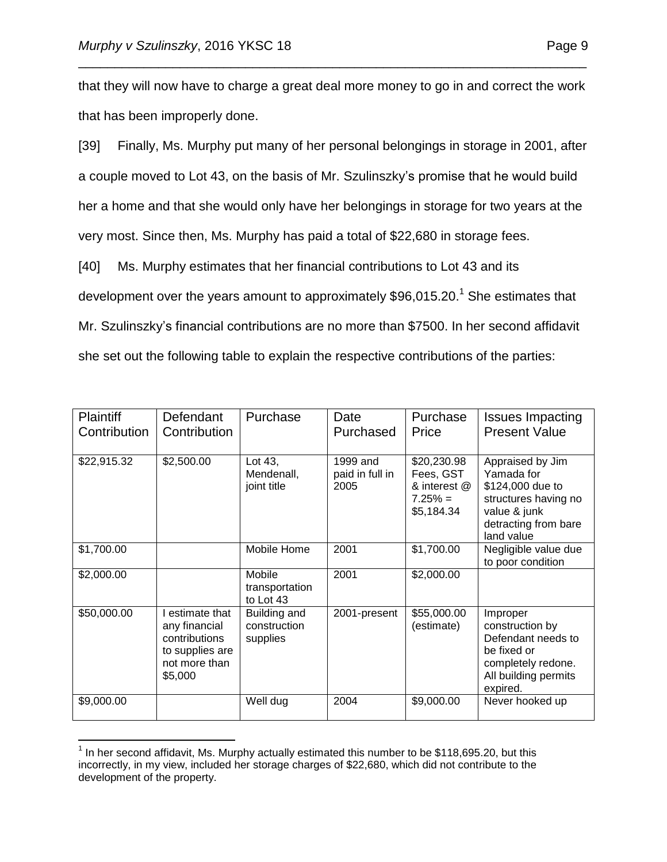that they will now have to charge a great deal more money to go in and correct the work that has been improperly done.

\_\_\_\_\_\_\_\_\_\_\_\_\_\_\_\_\_\_\_\_\_\_\_\_\_\_\_\_\_\_\_\_\_\_\_\_\_\_\_\_\_\_\_\_\_\_\_\_\_\_\_\_\_\_\_\_\_\_\_\_\_\_\_\_\_\_\_\_\_\_

[39] Finally, Ms. Murphy put many of her personal belongings in storage in 2001, after a couple moved to Lot 43, on the basis of Mr. Szulinszky's promise that he would build her a home and that she would only have her belongings in storage for two years at the very most. Since then, Ms. Murphy has paid a total of \$22,680 in storage fees.

[40] Ms. Murphy estimates that her financial contributions to Lot 43 and its development over the years amount to approximately  $$96,015.20.<sup>1</sup>$  She estimates that Mr. Szulinszky's financial contributions are no more than \$7500. In her second affidavit she set out the following table to explain the respective contributions of the parties:

| <b>Plaintiff</b><br>Contribution | Defendant<br>Contribution                                                                      | Purchase                                 | Date<br>Purchased                   | Purchase<br>Price                                                   | <b>Issues Impacting</b><br><b>Present Value</b>                                                                                  |
|----------------------------------|------------------------------------------------------------------------------------------------|------------------------------------------|-------------------------------------|---------------------------------------------------------------------|----------------------------------------------------------------------------------------------------------------------------------|
| \$22,915.32                      | \$2,500.00                                                                                     | Lot 43,<br>Mendenall,<br>joint title     | 1999 and<br>paid in full in<br>2005 | \$20,230.98<br>Fees, GST<br>& interest @<br>$7.25% =$<br>\$5,184.34 | Appraised by Jim<br>Yamada for<br>\$124,000 due to<br>structures having no<br>value & junk<br>detracting from bare<br>land value |
| \$1,700.00                       |                                                                                                | Mobile Home                              | 2001                                | \$1,700.00                                                          | Negligible value due<br>to poor condition                                                                                        |
| \$2,000.00                       |                                                                                                | Mobile<br>transportation<br>to Lot 43    | 2001                                | \$2,000.00                                                          |                                                                                                                                  |
| \$50,000.00                      | estimate that<br>any financial<br>contributions<br>to supplies are<br>not more than<br>\$5,000 | Building and<br>construction<br>supplies | 2001-present                        | \$55,000.00<br>(estimate)                                           | Improper<br>construction by<br>Defendant needs to<br>be fixed or<br>completely redone.<br>All building permits<br>expired.       |
| \$9,000.00                       |                                                                                                | Well dug                                 | 2004                                | \$9,000.00                                                          | Never hooked up                                                                                                                  |

 $\overline{a}$  $<sup>1</sup>$  In her second affidavit, Ms. Murphy actually estimated this number to be \$118,695.20, but this</sup> incorrectly, in my view, included her storage charges of \$22,680, which did not contribute to the development of the property.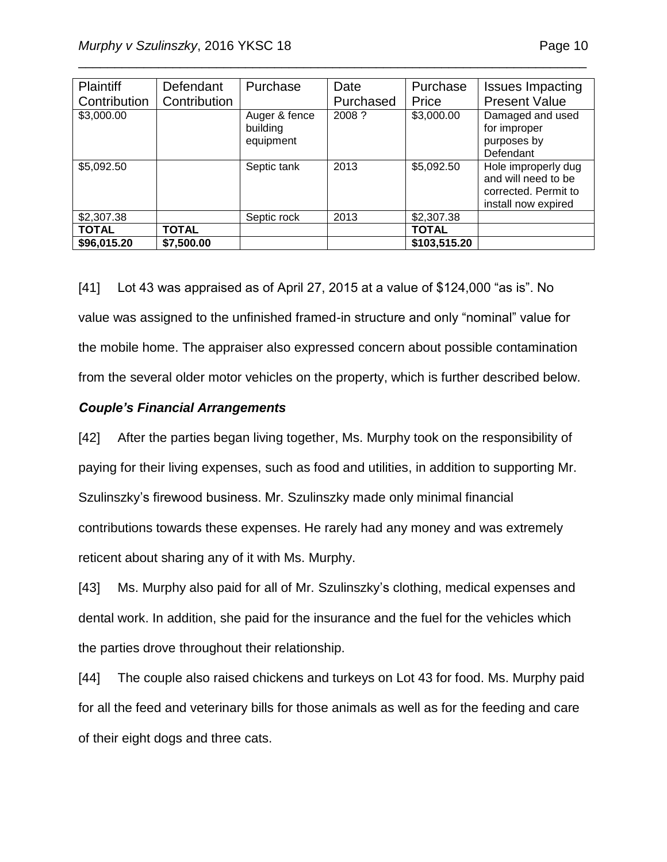| Page | 10 |
|------|----|
|      |    |

| <b>Plaintiff</b> | Defendant    | Purchase                               | Date      | Purchase     | <b>Issues Impacting</b>                                                                   |
|------------------|--------------|----------------------------------------|-----------|--------------|-------------------------------------------------------------------------------------------|
| Contribution     | Contribution |                                        | Purchased | Price        | <b>Present Value</b>                                                                      |
| \$3,000.00       |              | Auger & fence<br>building<br>equipment | 2008 ?    | \$3,000.00   | Damaged and used<br>for improper<br>purposes by<br>Defendant                              |
| \$5,092.50       |              | Septic tank                            | 2013      | \$5,092.50   | Hole improperly dug<br>and will need to be<br>corrected. Permit to<br>install now expired |
| \$2,307.38       |              | Septic rock                            | 2013      | \$2,307.38   |                                                                                           |
| <b>TOTAL</b>     | <b>TOTAL</b> |                                        |           | <b>TOTAL</b> |                                                                                           |
| \$96,015.20      | \$7,500.00   |                                        |           | \$103,515.20 |                                                                                           |

\_\_\_\_\_\_\_\_\_\_\_\_\_\_\_\_\_\_\_\_\_\_\_\_\_\_\_\_\_\_\_\_\_\_\_\_\_\_\_\_\_\_\_\_\_\_\_\_\_\_\_\_\_\_\_\_\_\_\_\_\_\_\_\_\_\_\_\_\_\_

[41] Lot 43 was appraised as of April 27, 2015 at a value of \$124,000 "as is". No value was assigned to the unfinished framed-in structure and only "nominal" value for the mobile home. The appraiser also expressed concern about possible contamination from the several older motor vehicles on the property, which is further described below.

#### *Couple's Financial Arrangements*

[42] After the parties began living together, Ms. Murphy took on the responsibility of paying for their living expenses, such as food and utilities, in addition to supporting Mr. Szulinszky's firewood business. Mr. Szulinszky made only minimal financial contributions towards these expenses. He rarely had any money and was extremely reticent about sharing any of it with Ms. Murphy.

[43] Ms. Murphy also paid for all of Mr. Szulinszky's clothing, medical expenses and dental work. In addition, she paid for the insurance and the fuel for the vehicles which the parties drove throughout their relationship.

[44] The couple also raised chickens and turkeys on Lot 43 for food. Ms. Murphy paid for all the feed and veterinary bills for those animals as well as for the feeding and care of their eight dogs and three cats.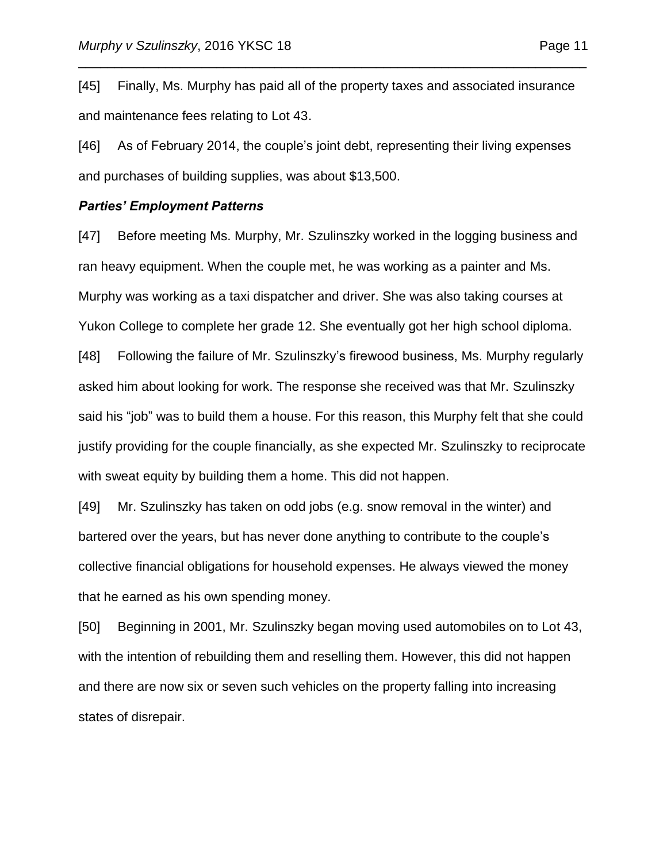[45] Finally, Ms. Murphy has paid all of the property taxes and associated insurance and maintenance fees relating to Lot 43.

\_\_\_\_\_\_\_\_\_\_\_\_\_\_\_\_\_\_\_\_\_\_\_\_\_\_\_\_\_\_\_\_\_\_\_\_\_\_\_\_\_\_\_\_\_\_\_\_\_\_\_\_\_\_\_\_\_\_\_\_\_\_\_\_\_\_\_\_\_\_

[46] As of February 2014, the couple's joint debt, representing their living expenses and purchases of building supplies, was about \$13,500.

#### *Parties' Employment Patterns*

[47] Before meeting Ms. Murphy, Mr. Szulinszky worked in the logging business and ran heavy equipment. When the couple met, he was working as a painter and Ms. Murphy was working as a taxi dispatcher and driver. She was also taking courses at Yukon College to complete her grade 12. She eventually got her high school diploma. [48] Following the failure of Mr. Szulinszky's firewood business, Ms. Murphy regularly asked him about looking for work. The response she received was that Mr. Szulinszky said his "job" was to build them a house. For this reason, this Murphy felt that she could justify providing for the couple financially, as she expected Mr. Szulinszky to reciprocate

with sweat equity by building them a home. This did not happen.

[49] Mr. Szulinszky has taken on odd jobs (e.g. snow removal in the winter) and bartered over the years, but has never done anything to contribute to the couple's collective financial obligations for household expenses. He always viewed the money that he earned as his own spending money.

[50] Beginning in 2001, Mr. Szulinszky began moving used automobiles on to Lot 43, with the intention of rebuilding them and reselling them. However, this did not happen and there are now six or seven such vehicles on the property falling into increasing states of disrepair.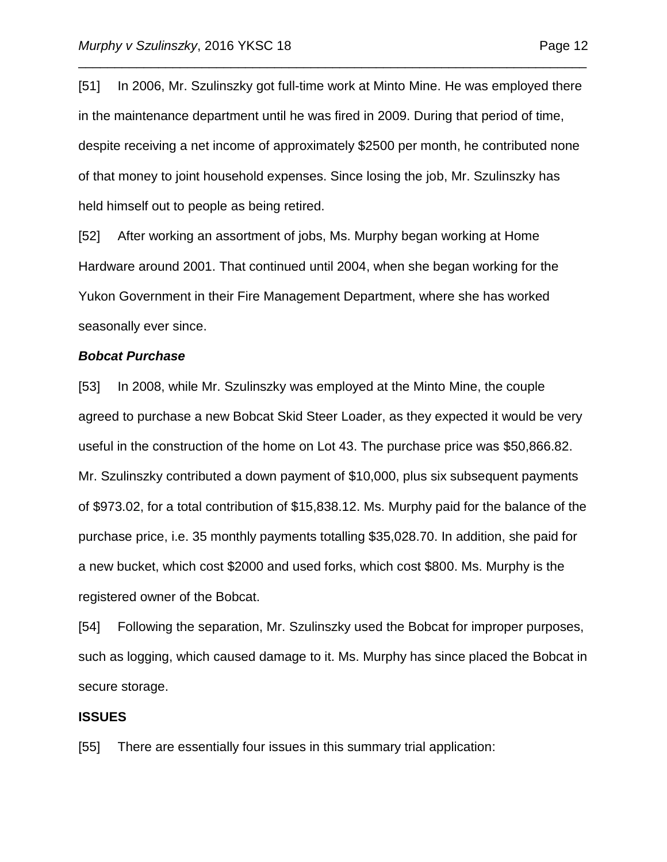[51] In 2006, Mr. Szulinszky got full-time work at Minto Mine. He was employed there in the maintenance department until he was fired in 2009. During that period of time, despite receiving a net income of approximately \$2500 per month, he contributed none of that money to joint household expenses. Since losing the job, Mr. Szulinszky has held himself out to people as being retired.

\_\_\_\_\_\_\_\_\_\_\_\_\_\_\_\_\_\_\_\_\_\_\_\_\_\_\_\_\_\_\_\_\_\_\_\_\_\_\_\_\_\_\_\_\_\_\_\_\_\_\_\_\_\_\_\_\_\_\_\_\_\_\_\_\_\_\_\_\_\_

[52] After working an assortment of jobs, Ms. Murphy began working at Home Hardware around 2001. That continued until 2004, when she began working for the Yukon Government in their Fire Management Department, where she has worked seasonally ever since.

#### *Bobcat Purchase*

[53] In 2008, while Mr. Szulinszky was employed at the Minto Mine, the couple agreed to purchase a new Bobcat Skid Steer Loader, as they expected it would be very useful in the construction of the home on Lot 43. The purchase price was \$50,866.82. Mr. Szulinszky contributed a down payment of \$10,000, plus six subsequent payments of \$973.02, for a total contribution of \$15,838.12. Ms. Murphy paid for the balance of the purchase price, i.e. 35 monthly payments totalling \$35,028.70. In addition, she paid for a new bucket, which cost \$2000 and used forks, which cost \$800. Ms. Murphy is the registered owner of the Bobcat.

[54] Following the separation, Mr. Szulinszky used the Bobcat for improper purposes, such as logging, which caused damage to it. Ms. Murphy has since placed the Bobcat in secure storage.

#### **ISSUES**

[55] There are essentially four issues in this summary trial application: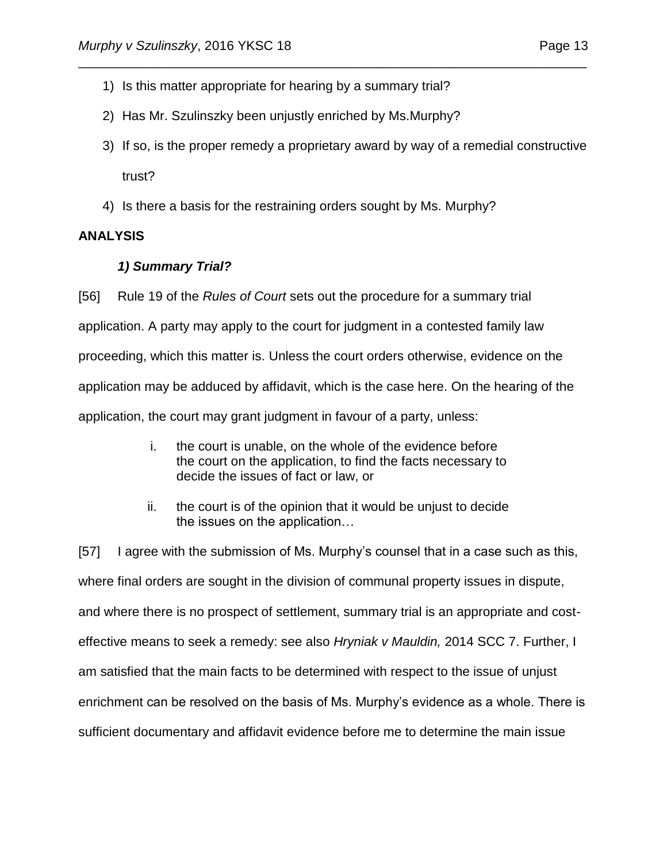- 1) Is this matter appropriate for hearing by a summary trial?
- 2) Has Mr. Szulinszky been unjustly enriched by Ms.Murphy?
- 3) If so, is the proper remedy a proprietary award by way of a remedial constructive trust?

\_\_\_\_\_\_\_\_\_\_\_\_\_\_\_\_\_\_\_\_\_\_\_\_\_\_\_\_\_\_\_\_\_\_\_\_\_\_\_\_\_\_\_\_\_\_\_\_\_\_\_\_\_\_\_\_\_\_\_\_\_\_\_\_\_\_\_\_\_\_

4) Is there a basis for the restraining orders sought by Ms. Murphy?

## **ANALYSIS**

## *1) Summary Trial?*

[56] Rule 19 of the *Rules of Court* sets out the procedure for a summary trial application. A party may apply to the court for judgment in a contested family law proceeding, which this matter is. Unless the court orders otherwise, evidence on the application may be adduced by affidavit, which is the case here. On the hearing of the application, the court may grant judgment in favour of a party, unless:

- i. the court is unable, on the whole of the evidence before the court on the application, to find the facts necessary to decide the issues of fact or law, or
- ii. the court is of the opinion that it would be unjust to decide the issues on the application…

[57] I agree with the submission of Ms. Murphy's counsel that in a case such as this, where final orders are sought in the division of communal property issues in dispute, and where there is no prospect of settlement, summary trial is an appropriate and costeffective means to seek a remedy: see also *Hryniak v Mauldin,* 2014 SCC 7. Further, I am satisfied that the main facts to be determined with respect to the issue of unjust enrichment can be resolved on the basis of Ms. Murphy's evidence as a whole. There is sufficient documentary and affidavit evidence before me to determine the main issue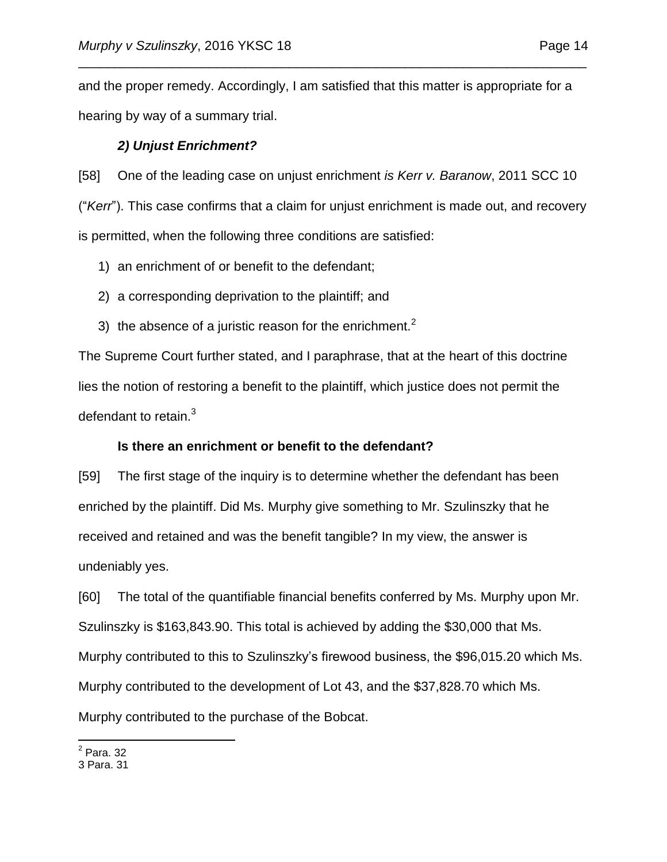and the proper remedy. Accordingly, I am satisfied that this matter is appropriate for a hearing by way of a summary trial.

\_\_\_\_\_\_\_\_\_\_\_\_\_\_\_\_\_\_\_\_\_\_\_\_\_\_\_\_\_\_\_\_\_\_\_\_\_\_\_\_\_\_\_\_\_\_\_\_\_\_\_\_\_\_\_\_\_\_\_\_\_\_\_\_\_\_\_\_\_\_

## *2) Unjust Enrichment?*

[58] One of the leading case on unjust enrichment *is Kerr v. Baranow*, 2011 SCC 10 ("*Kerr*"). This case confirms that a claim for unjust enrichment is made out, and recovery is permitted, when the following three conditions are satisfied:

- 1) an enrichment of or benefit to the defendant;
- 2) a corresponding deprivation to the plaintiff; and
- 3) the absence of a juristic reason for the enrichment.<sup>2</sup>

The Supreme Court further stated, and I paraphrase, that at the heart of this doctrine lies the notion of restoring a benefit to the plaintiff, which justice does not permit the defendant to retain. $3$ 

### **Is there an enrichment or benefit to the defendant?**

[59] The first stage of the inquiry is to determine whether the defendant has been enriched by the plaintiff. Did Ms. Murphy give something to Mr. Szulinszky that he received and retained and was the benefit tangible? In my view, the answer is undeniably yes.

[60] The total of the quantifiable financial benefits conferred by Ms. Murphy upon Mr. Szulinszky is \$163,843.90. This total is achieved by adding the \$30,000 that Ms. Murphy contributed to this to Szulinszky's firewood business, the \$96,015.20 which Ms. Murphy contributed to the development of Lot 43, and the \$37,828.70 which Ms. Murphy contributed to the purchase of the Bobcat.

 $\overline{a}$ 2 Para. 32

<sup>3</sup> Para. 31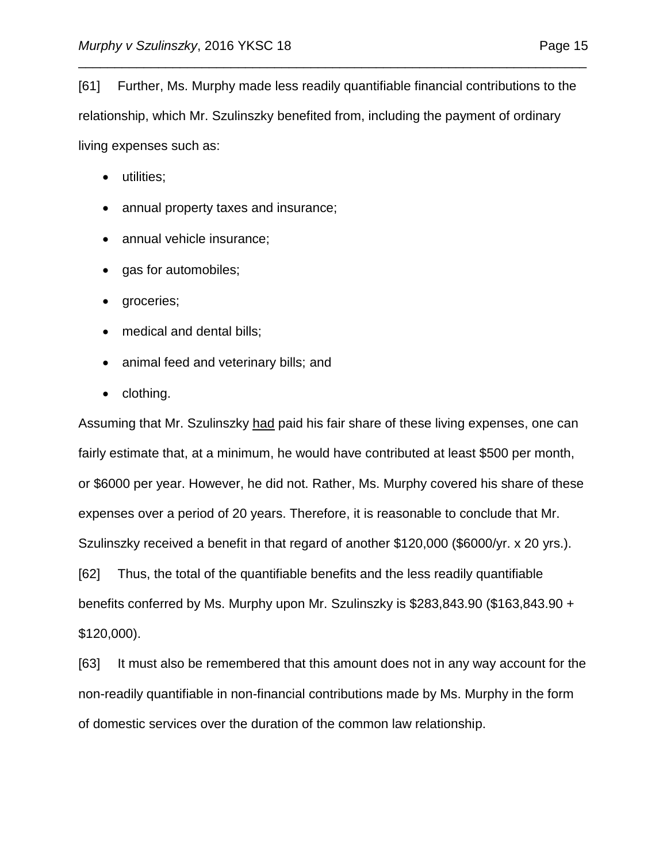[61] Further, Ms. Murphy made less readily quantifiable financial contributions to the relationship, which Mr. Szulinszky benefited from, including the payment of ordinary living expenses such as:

\_\_\_\_\_\_\_\_\_\_\_\_\_\_\_\_\_\_\_\_\_\_\_\_\_\_\_\_\_\_\_\_\_\_\_\_\_\_\_\_\_\_\_\_\_\_\_\_\_\_\_\_\_\_\_\_\_\_\_\_\_\_\_\_\_\_\_\_\_\_

- utilities;
- annual property taxes and insurance;
- annual vehicle insurance;
- gas for automobiles;
- groceries;
- medical and dental bills;
- animal feed and veterinary bills; and
- clothing.

Assuming that Mr. Szulinszky had paid his fair share of these living expenses, one can fairly estimate that, at a minimum, he would have contributed at least \$500 per month, or \$6000 per year. However, he did not. Rather, Ms. Murphy covered his share of these expenses over a period of 20 years. Therefore, it is reasonable to conclude that Mr. Szulinszky received a benefit in that regard of another \$120,000 (\$6000/yr. x 20 yrs.). [62] Thus, the total of the quantifiable benefits and the less readily quantifiable benefits conferred by Ms. Murphy upon Mr. Szulinszky is \$283,843.90 (\$163,843.90 +

\$120,000).

[63] It must also be remembered that this amount does not in any way account for the non-readily quantifiable in non-financial contributions made by Ms. Murphy in the form of domestic services over the duration of the common law relationship.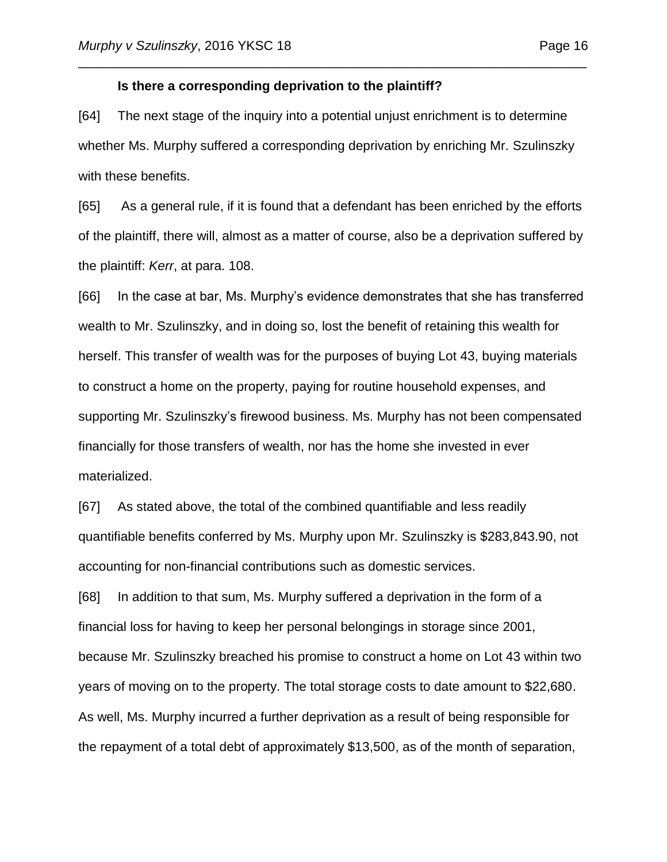#### **Is there a corresponding deprivation to the plaintiff?**

[64] The next stage of the inquiry into a potential unjust enrichment is to determine whether Ms. Murphy suffered a corresponding deprivation by enriching Mr. Szulinszky with these benefits.

\_\_\_\_\_\_\_\_\_\_\_\_\_\_\_\_\_\_\_\_\_\_\_\_\_\_\_\_\_\_\_\_\_\_\_\_\_\_\_\_\_\_\_\_\_\_\_\_\_\_\_\_\_\_\_\_\_\_\_\_\_\_\_\_\_\_\_\_\_\_

[65] As a general rule, if it is found that a defendant has been enriched by the efforts of the plaintiff, there will, almost as a matter of course, also be a deprivation suffered by the plaintiff: *Kerr*, at para. 108.

[66] In the case at bar, Ms. Murphy's evidence demonstrates that she has transferred wealth to Mr. Szulinszky, and in doing so, lost the benefit of retaining this wealth for herself. This transfer of wealth was for the purposes of buying Lot 43, buying materials to construct a home on the property, paying for routine household expenses, and supporting Mr. Szulinszky's firewood business. Ms. Murphy has not been compensated financially for those transfers of wealth, nor has the home she invested in ever materialized.

[67] As stated above, the total of the combined quantifiable and less readily quantifiable benefits conferred by Ms. Murphy upon Mr. Szulinszky is \$283,843.90, not accounting for non-financial contributions such as domestic services.

[68] In addition to that sum, Ms. Murphy suffered a deprivation in the form of a financial loss for having to keep her personal belongings in storage since 2001, because Mr. Szulinszky breached his promise to construct a home on Lot 43 within two years of moving on to the property. The total storage costs to date amount to \$22,680. As well, Ms. Murphy incurred a further deprivation as a result of being responsible for the repayment of a total debt of approximately \$13,500, as of the month of separation,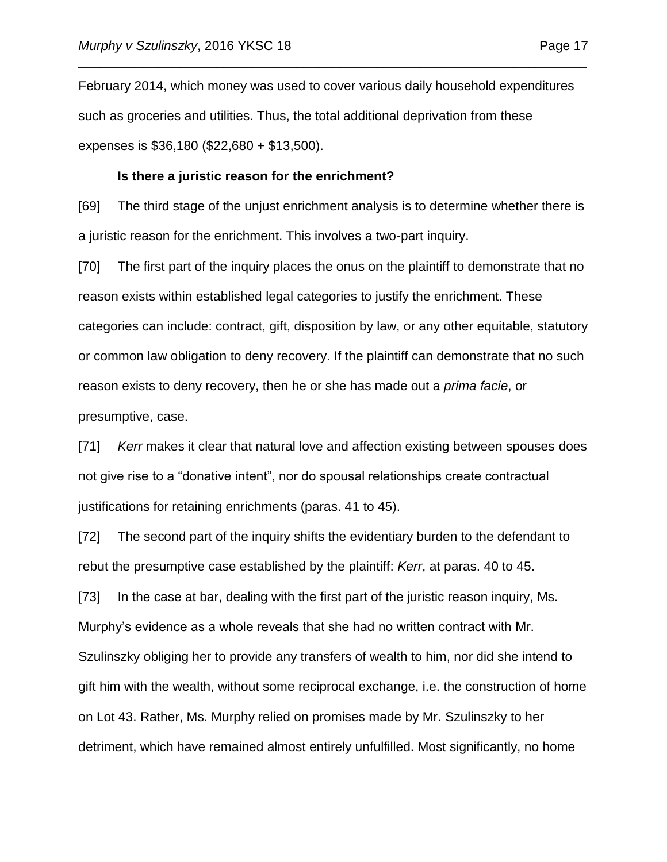February 2014, which money was used to cover various daily household expenditures such as groceries and utilities. Thus, the total additional deprivation from these expenses is \$36,180 (\$22,680 + \$13,500).

\_\_\_\_\_\_\_\_\_\_\_\_\_\_\_\_\_\_\_\_\_\_\_\_\_\_\_\_\_\_\_\_\_\_\_\_\_\_\_\_\_\_\_\_\_\_\_\_\_\_\_\_\_\_\_\_\_\_\_\_\_\_\_\_\_\_\_\_\_\_

#### **Is there a juristic reason for the enrichment?**

[69] The third stage of the unjust enrichment analysis is to determine whether there is a juristic reason for the enrichment. This involves a two-part inquiry.

[70] The first part of the inquiry places the onus on the plaintiff to demonstrate that no reason exists within established legal categories to justify the enrichment. These categories can include: contract, gift, disposition by law, or any other equitable, statutory or common law obligation to deny recovery. If the plaintiff can demonstrate that no such reason exists to deny recovery, then he or she has made out a *prima facie*, or presumptive, case.

[71] *Kerr* makes it clear that natural love and affection existing between spouses does not give rise to a "donative intent", nor do spousal relationships create contractual justifications for retaining enrichments (paras. 41 to 45).

[72] The second part of the inquiry shifts the evidentiary burden to the defendant to rebut the presumptive case established by the plaintiff: *Kerr*, at paras. 40 to 45.

[73] In the case at bar, dealing with the first part of the juristic reason inquiry, Ms. Murphy's evidence as a whole reveals that she had no written contract with Mr. Szulinszky obliging her to provide any transfers of wealth to him, nor did she intend to gift him with the wealth, without some reciprocal exchange, i.e. the construction of home on Lot 43. Rather, Ms. Murphy relied on promises made by Mr. Szulinszky to her detriment, which have remained almost entirely unfulfilled. Most significantly, no home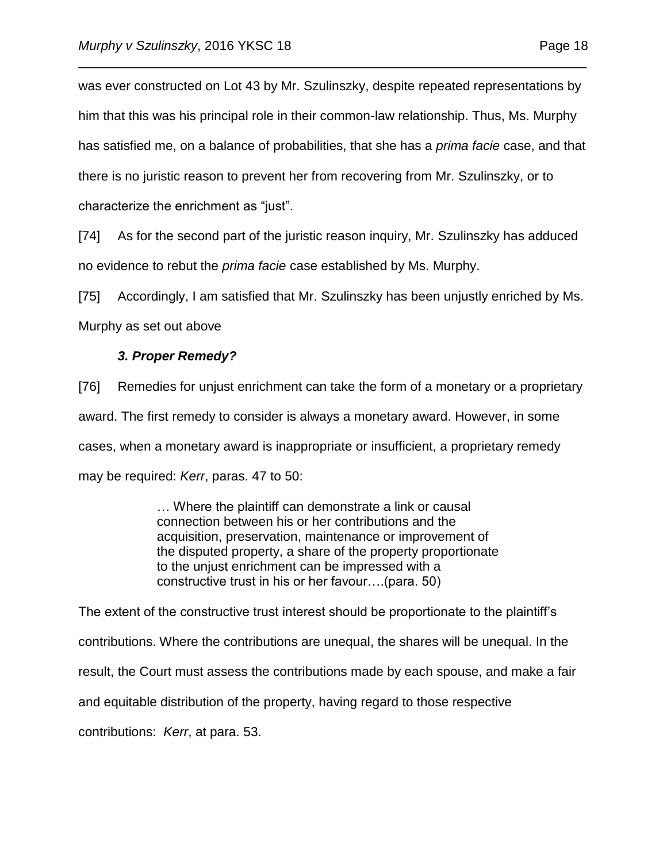was ever constructed on Lot 43 by Mr. Szulinszky, despite repeated representations by him that this was his principal role in their common-law relationship. Thus, Ms. Murphy has satisfied me, on a balance of probabilities, that she has a *prima facie* case, and that there is no juristic reason to prevent her from recovering from Mr. Szulinszky, or to characterize the enrichment as "just".

\_\_\_\_\_\_\_\_\_\_\_\_\_\_\_\_\_\_\_\_\_\_\_\_\_\_\_\_\_\_\_\_\_\_\_\_\_\_\_\_\_\_\_\_\_\_\_\_\_\_\_\_\_\_\_\_\_\_\_\_\_\_\_\_\_\_\_\_\_\_

[74] As for the second part of the juristic reason inquiry, Mr. Szulinszky has adduced no evidence to rebut the *prima facie* case established by Ms. Murphy.

[75] Accordingly, I am satisfied that Mr. Szulinszky has been unjustly enriched by Ms. Murphy as set out above

### *3. Proper Remedy?*

[76] Remedies for unjust enrichment can take the form of a monetary or a proprietary award. The first remedy to consider is always a monetary award. However, in some cases, when a monetary award is inappropriate or insufficient, a proprietary remedy may be required: *Kerr*, paras. 47 to 50:

> … Where the plaintiff can demonstrate a link or causal connection between his or her contributions and the acquisition, preservation, maintenance or improvement of the disputed property, a share of the property proportionate to the unjust enrichment can be impressed with a constructive trust in his or her favour….(para. 50)

The extent of the constructive trust interest should be proportionate to the plaintiff's contributions. Where the contributions are unequal, the shares will be unequal. In the result, the Court must assess the contributions made by each spouse, and make a fair and equitable distribution of the property, having regard to those respective contributions: *Kerr*, at para. 53.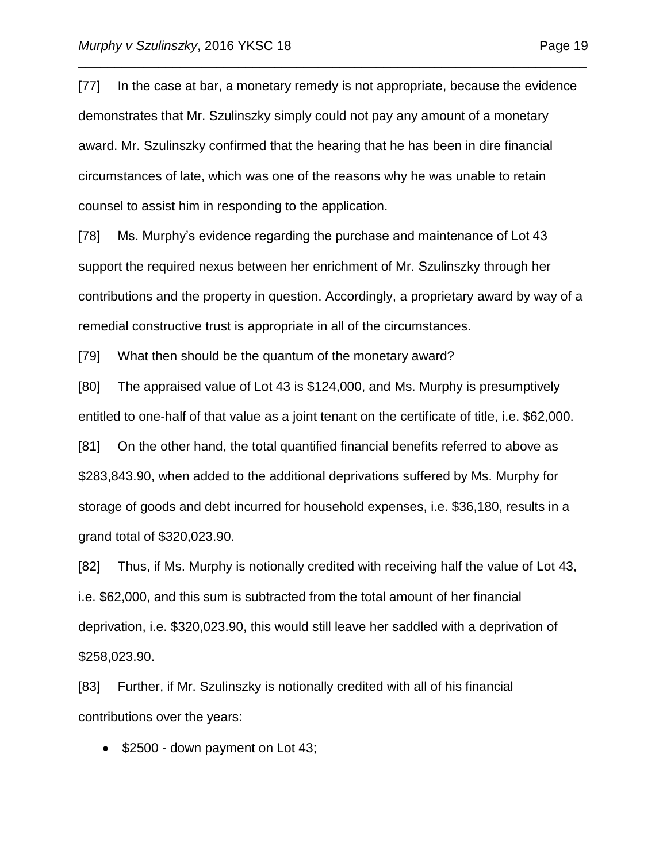[77] In the case at bar, a monetary remedy is not appropriate, because the evidence demonstrates that Mr. Szulinszky simply could not pay any amount of a monetary award. Mr. Szulinszky confirmed that the hearing that he has been in dire financial circumstances of late, which was one of the reasons why he was unable to retain counsel to assist him in responding to the application.

\_\_\_\_\_\_\_\_\_\_\_\_\_\_\_\_\_\_\_\_\_\_\_\_\_\_\_\_\_\_\_\_\_\_\_\_\_\_\_\_\_\_\_\_\_\_\_\_\_\_\_\_\_\_\_\_\_\_\_\_\_\_\_\_\_\_\_\_\_\_

[78] Ms. Murphy's evidence regarding the purchase and maintenance of Lot 43 support the required nexus between her enrichment of Mr. Szulinszky through her contributions and the property in question. Accordingly, a proprietary award by way of a remedial constructive trust is appropriate in all of the circumstances.

[79] What then should be the quantum of the monetary award?

[80] The appraised value of Lot 43 is \$124,000, and Ms. Murphy is presumptively entitled to one-half of that value as a joint tenant on the certificate of title, i.e. \$62,000.

[81] On the other hand, the total quantified financial benefits referred to above as \$283,843.90, when added to the additional deprivations suffered by Ms. Murphy for storage of goods and debt incurred for household expenses, i.e. \$36,180, results in a grand total of \$320,023.90.

[82] Thus, if Ms. Murphy is notionally credited with receiving half the value of Lot 43, i.e. \$62,000, and this sum is subtracted from the total amount of her financial deprivation, i.e. \$320,023.90, this would still leave her saddled with a deprivation of \$258,023.90.

[83] Further, if Mr. Szulinszky is notionally credited with all of his financial contributions over the years:

• \$2500 - down payment on Lot 43;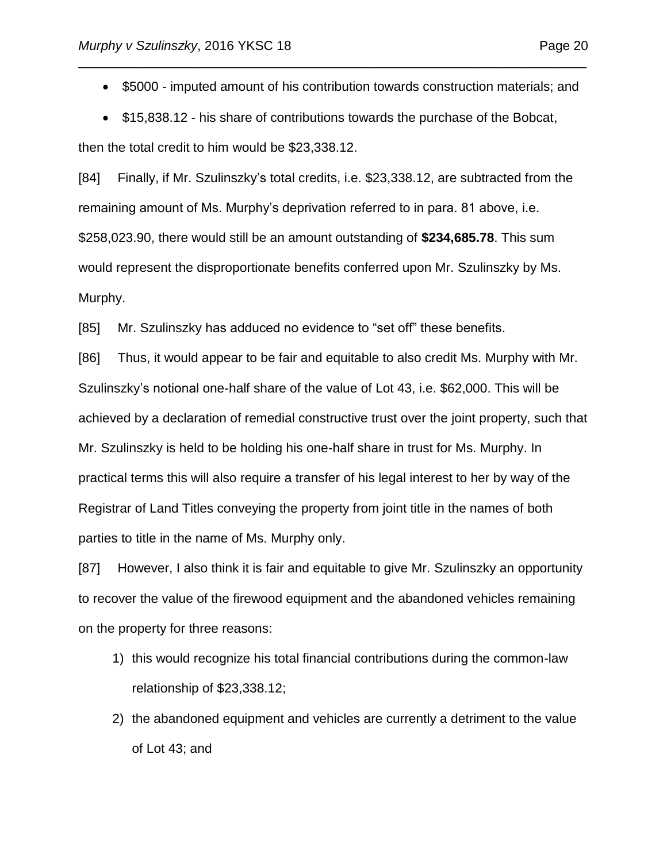• \$5000 - imputed amount of his contribution towards construction materials; and

\_\_\_\_\_\_\_\_\_\_\_\_\_\_\_\_\_\_\_\_\_\_\_\_\_\_\_\_\_\_\_\_\_\_\_\_\_\_\_\_\_\_\_\_\_\_\_\_\_\_\_\_\_\_\_\_\_\_\_\_\_\_\_\_\_\_\_\_\_\_

• \$15,838.12 - his share of contributions towards the purchase of the Bobcat,

then the total credit to him would be \$23,338.12.

[84] Finally, if Mr. Szulinszky's total credits, i.e. \$23,338.12, are subtracted from the remaining amount of Ms. Murphy's deprivation referred to in para. 81 above, i.e. \$258,023.90, there would still be an amount outstanding of **\$234,685.78**. This sum would represent the disproportionate benefits conferred upon Mr. Szulinszky by Ms. Murphy.

[85] Mr. Szulinszky has adduced no evidence to "set off" these benefits.

[86] Thus, it would appear to be fair and equitable to also credit Ms. Murphy with Mr. Szulinszky's notional one-half share of the value of Lot 43, i.e. \$62,000. This will be achieved by a declaration of remedial constructive trust over the joint property, such that Mr. Szulinszky is held to be holding his one-half share in trust for Ms. Murphy. In practical terms this will also require a transfer of his legal interest to her by way of the Registrar of Land Titles conveying the property from joint title in the names of both parties to title in the name of Ms. Murphy only.

[87] However, I also think it is fair and equitable to give Mr. Szulinszky an opportunity to recover the value of the firewood equipment and the abandoned vehicles remaining on the property for three reasons:

- 1) this would recognize his total financial contributions during the common-law relationship of \$23,338.12;
- 2) the abandoned equipment and vehicles are currently a detriment to the value of Lot 43; and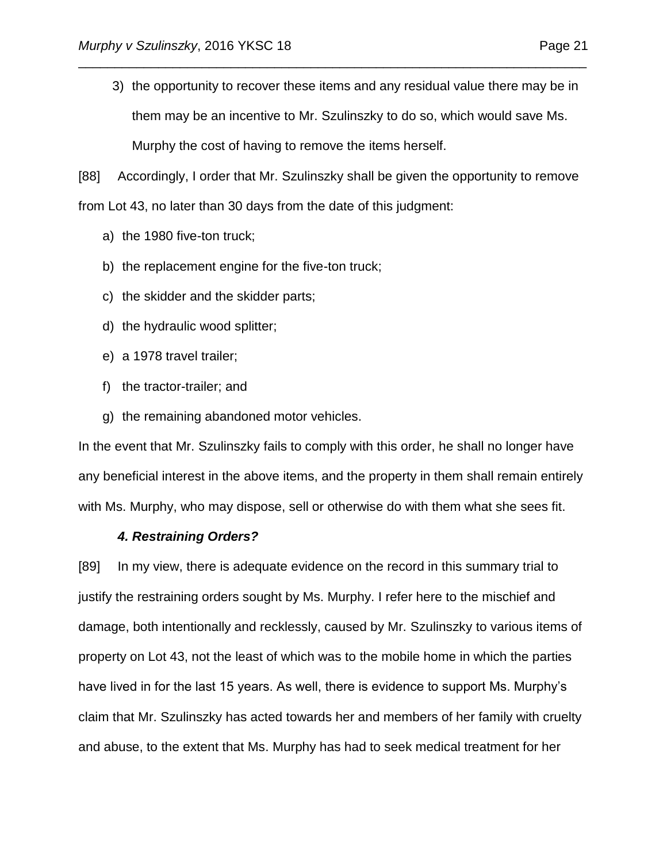3) the opportunity to recover these items and any residual value there may be in them may be an incentive to Mr. Szulinszky to do so, which would save Ms. Murphy the cost of having to remove the items herself.

\_\_\_\_\_\_\_\_\_\_\_\_\_\_\_\_\_\_\_\_\_\_\_\_\_\_\_\_\_\_\_\_\_\_\_\_\_\_\_\_\_\_\_\_\_\_\_\_\_\_\_\_\_\_\_\_\_\_\_\_\_\_\_\_\_\_\_\_\_\_

[88] Accordingly, I order that Mr. Szulinszky shall be given the opportunity to remove from Lot 43, no later than 30 days from the date of this judgment:

- a) the 1980 five-ton truck;
- b) the replacement engine for the five-ton truck;
- c) the skidder and the skidder parts;
- d) the hydraulic wood splitter;
- e) a 1978 travel trailer;
- f) the tractor-trailer; and
- g) the remaining abandoned motor vehicles.

In the event that Mr. Szulinszky fails to comply with this order, he shall no longer have any beneficial interest in the above items, and the property in them shall remain entirely with Ms. Murphy, who may dispose, sell or otherwise do with them what she sees fit.

### *4. Restraining Orders?*

[89] In my view, there is adequate evidence on the record in this summary trial to justify the restraining orders sought by Ms. Murphy. I refer here to the mischief and damage, both intentionally and recklessly, caused by Mr. Szulinszky to various items of property on Lot 43, not the least of which was to the mobile home in which the parties have lived in for the last 15 years. As well, there is evidence to support Ms. Murphy's claim that Mr. Szulinszky has acted towards her and members of her family with cruelty and abuse, to the extent that Ms. Murphy has had to seek medical treatment for her